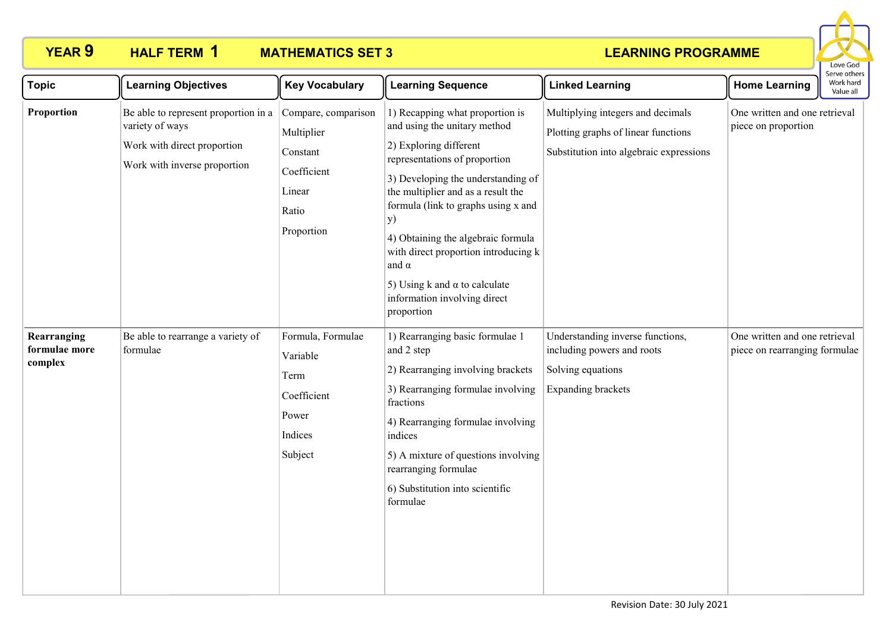

| <b>Topic</b>                            | <b>Learning Objectives</b>                                                                                             | <b>Key Vocabulary</b>                                                                         | <b>Learning Sequence</b>                                                                                                                                                                                                                                                                                                                                                                                                                        | <b>Linked Learning</b>                                                                                              | <b>Home Learning</b>                                           | וסט סכו עם ה<br>Work hard<br>Value all |
|-----------------------------------------|------------------------------------------------------------------------------------------------------------------------|-----------------------------------------------------------------------------------------------|-------------------------------------------------------------------------------------------------------------------------------------------------------------------------------------------------------------------------------------------------------------------------------------------------------------------------------------------------------------------------------------------------------------------------------------------------|---------------------------------------------------------------------------------------------------------------------|----------------------------------------------------------------|----------------------------------------|
| Proportion                              | Be able to represent proportion in a<br>variety of ways<br>Work with direct proportion<br>Work with inverse proportion | Compare, comparison<br>Multiplier<br>Constant<br>Coefficient<br>Linear<br>Ratio<br>Proportion | 1) Recapping what proportion is<br>and using the unitary method<br>2) Exploring different<br>representations of proportion<br>3) Developing the understanding of<br>the multiplier and as a result the<br>formula (link to graphs using x and<br><b>y</b> )<br>4) Obtaining the algebraic formula<br>with direct proportion introducing k<br>and $\alpha$<br>5) Using k and $\alpha$ to calculate<br>information involving direct<br>proportion | Multiplying integers and decimals<br>Plotting graphs of linear functions<br>Substitution into algebraic expressions | One written and one retrieval<br>piece on proportion           |                                        |
| Rearranging<br>formulae more<br>complex | Be able to rearrange a variety of<br>formulae                                                                          | Formula, Formulae<br>Variable<br>Term<br>Coefficient<br>Power<br>Indices<br>Subject           | 1) Rearranging basic formulae 1<br>and 2 step<br>2) Rearranging involving brackets<br>3) Rearranging formulae involving<br>fractions<br>4) Rearranging formulae involving<br>indices<br>5) A mixture of questions involving<br>rearranging formulae<br>6) Substitution into scientific<br>formulae                                                                                                                                              | Understanding inverse functions,<br>including powers and roots<br>Solving equations<br><b>Expanding brackets</b>    | One written and one retrieval<br>piece on rearranging formulae |                                        |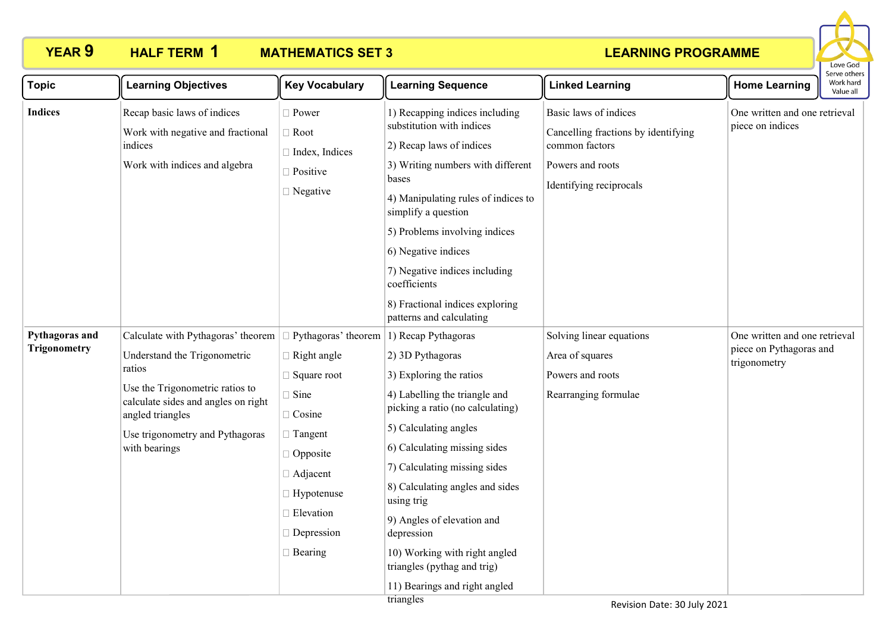

| <b>Topic</b>                          | <b>Learning Objectives</b>                                                                                                                                                                                                     | <b>Key Vocabulary</b>                                                                                                                                                                                           | <b>Learning Sequence</b>                                                                                                                                                                                                                                                                                                                                                                                                       | <b>Linked Learning</b>                                                                                                        | <b>Home Learning</b>                                                     | Serve others<br>Work hard<br>Value all |
|---------------------------------------|--------------------------------------------------------------------------------------------------------------------------------------------------------------------------------------------------------------------------------|-----------------------------------------------------------------------------------------------------------------------------------------------------------------------------------------------------------------|--------------------------------------------------------------------------------------------------------------------------------------------------------------------------------------------------------------------------------------------------------------------------------------------------------------------------------------------------------------------------------------------------------------------------------|-------------------------------------------------------------------------------------------------------------------------------|--------------------------------------------------------------------------|----------------------------------------|
| <b>Indices</b>                        | Recap basic laws of indices<br>Work with negative and fractional<br>indices<br>Work with indices and algebra                                                                                                                   | $\Box$ Power<br>$\Box$ Root<br>□ Index, Indices<br>$\Box$ Positive<br>$\Box$ Negative                                                                                                                           | 1) Recapping indices including<br>substitution with indices<br>2) Recap laws of indices<br>3) Writing numbers with different<br>bases<br>4) Manipulating rules of indices to<br>simplify a question<br>5) Problems involving indices<br>6) Negative indices<br>7) Negative indices including<br>coefficients<br>8) Fractional indices exploring<br>patterns and calculating                                                    | Basic laws of indices<br>Cancelling fractions by identifying<br>common factors<br>Powers and roots<br>Identifying reciprocals | One written and one retrieval<br>piece on indices                        |                                        |
| Pythagoras and<br><b>Trigonometry</b> | Calculate with Pythagoras' theorem<br>Understand the Trigonometric<br>ratios<br>Use the Trigonometric ratios to<br>calculate sides and angles on right<br>angled triangles<br>Use trigonometry and Pythagoras<br>with bearings | Pythagoras' theorem<br>$\Box$ Right angle<br>$\Box$ Square root<br>$\Box$ Sine<br>$\Box$ Cosine<br>$\Box$ Tangent<br>$\Box$ Opposite<br>$\Box$ Adjacent<br>□ Hypotenuse<br>Elevation<br>Depression<br>□ Bearing | 1) Recap Pythagoras<br>2) 3D Pythagoras<br>3) Exploring the ratios<br>4) Labelling the triangle and<br>picking a ratio (no calculating)<br>5) Calculating angles<br>6) Calculating missing sides<br>7) Calculating missing sides<br>8) Calculating angles and sides<br>using trig<br>9) Angles of elevation and<br>depression<br>10) Working with right angled<br>triangles (pythag and trig)<br>11) Bearings and right angled | Solving linear equations<br>Area of squares<br>Powers and roots<br>Rearranging formulae                                       | One written and one retrieval<br>piece on Pythagoras and<br>trigonometry |                                        |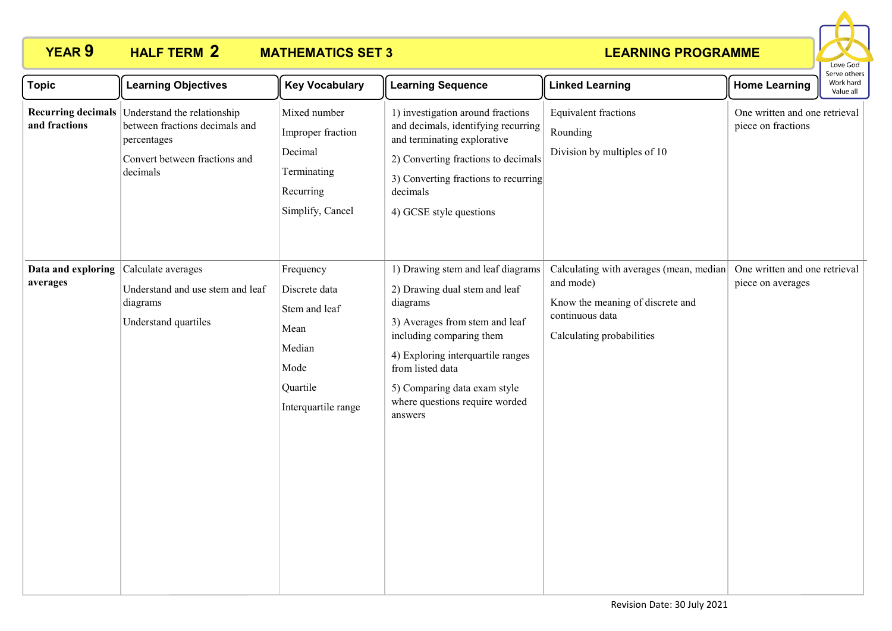

| <b>Topic</b>                   | <b>Learning Objectives</b>                                                                                                                   | <b>Key Vocabulary</b>                                                                                    | <b>Learning Sequence</b>                                                                                                                                                                                                                                                           | <b>Linked Learning</b>                                                                                                                   | <b>Home Learning</b>                                | Serve others<br>Work hard<br>Value all |
|--------------------------------|----------------------------------------------------------------------------------------------------------------------------------------------|----------------------------------------------------------------------------------------------------------|------------------------------------------------------------------------------------------------------------------------------------------------------------------------------------------------------------------------------------------------------------------------------------|------------------------------------------------------------------------------------------------------------------------------------------|-----------------------------------------------------|----------------------------------------|
| and fractions                  | Recurring decimals Understand the relationship<br>between fractions decimals and<br>percentages<br>Convert between fractions and<br>decimals | Mixed number<br>Improper fraction<br>Decimal<br>Terminating<br>Recurring<br>Simplify, Cancel             | 1) investigation around fractions<br>and decimals, identifying recurring<br>and terminating explorative<br>2) Converting fractions to decimals<br>3) Converting fractions to recurring<br>decimals<br>4) GCSE style questions                                                      | Equivalent fractions<br>Rounding<br>Division by multiples of 10                                                                          | One written and one retrieval<br>piece on fractions |                                        |
| Data and exploring<br>averages | Calculate averages<br>Understand and use stem and leaf<br>diagrams<br>Understand quartiles                                                   | Frequency<br>Discrete data<br>Stem and leaf<br>Mean<br>Median<br>Mode<br>Quartile<br>Interquartile range | 1) Drawing stem and leaf diagrams<br>2) Drawing dual stem and leaf<br>diagrams<br>3) Averages from stem and leaf<br>including comparing them<br>4) Exploring interquartile ranges<br>from listed data<br>5) Comparing data exam style<br>where questions require worded<br>answers | Calculating with averages (mean, median<br>and mode)<br>Know the meaning of discrete and<br>continuous data<br>Calculating probabilities | One written and one retrieval<br>piece on averages  |                                        |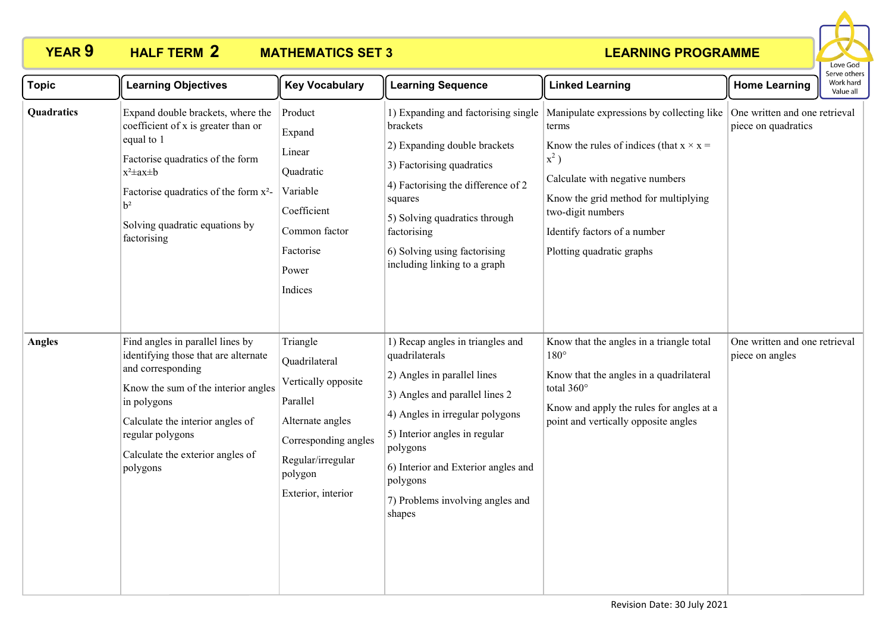

| <b>Topic</b>  | <b>Learning Objectives</b>                                                                                                                                                                                                                                               | <b>Key Vocabulary</b>                                                                                                                                          | <b>Learning Sequence</b>                                                                                                                                                                                                                                                                             | <b>Linked Learning</b>                                                                                                                                                                                                                                                       | <b>Home Learning</b>                                 | Serve others<br>Work hard<br>Value all |
|---------------|--------------------------------------------------------------------------------------------------------------------------------------------------------------------------------------------------------------------------------------------------------------------------|----------------------------------------------------------------------------------------------------------------------------------------------------------------|------------------------------------------------------------------------------------------------------------------------------------------------------------------------------------------------------------------------------------------------------------------------------------------------------|------------------------------------------------------------------------------------------------------------------------------------------------------------------------------------------------------------------------------------------------------------------------------|------------------------------------------------------|----------------------------------------|
| Quadratics    | Expand double brackets, where the<br>coefficient of x is greater than or<br>equal to 1<br>Factorise quadratics of the form<br>$x^2 \pm ax \pm b$<br>Factorise quadratics of the form x <sup>2</sup> -<br>h <sup>2</sup><br>Solving quadratic equations by<br>factorising | Product<br>Expand<br>Linear<br>Quadratic<br>Variable<br>Coefficient<br>Common factor<br>Factorise<br>Power<br>Indices                                          | 1) Expanding and factorising single<br>brackets<br>2) Expanding double brackets<br>3) Factorising quadratics<br>4) Factorising the difference of 2<br>squares<br>5) Solving quadratics through<br>factorising<br>6) Solving using factorising<br>including linking to a graph                        | Manipulate expressions by collecting like<br>terms<br>Know the rules of indices (that $x \times x =$<br>$x^2$ )<br>Calculate with negative numbers<br>Know the grid method for multiplying<br>two-digit numbers<br>Identify factors of a number<br>Plotting quadratic graphs | One written and one retrieval<br>piece on quadratics |                                        |
| <b>Angles</b> | Find angles in parallel lines by<br>identifying those that are alternate<br>and corresponding<br>Know the sum of the interior angles<br>in polygons<br>Calculate the interior angles of<br>regular polygons<br>Calculate the exterior angles of<br>polygons              | Triangle<br>Quadrilateral<br>Vertically opposite<br>Parallel<br>Alternate angles<br>Corresponding angles<br>Regular/irregular<br>polygon<br>Exterior, interior | 1) Recap angles in triangles and<br>quadrilaterals<br>2) Angles in parallel lines<br>3) Angles and parallel lines 2<br>4) Angles in irregular polygons<br>5) Interior angles in regular<br>polygons<br>6) Interior and Exterior angles and<br>polygons<br>7) Problems involving angles and<br>shapes | Know that the angles in a triangle total<br>$180^\circ$<br>Know that the angles in a quadrilateral<br>total 360°<br>Know and apply the rules for angles at a<br>point and vertically opposite angles                                                                         | One written and one retrieval<br>piece on angles     |                                        |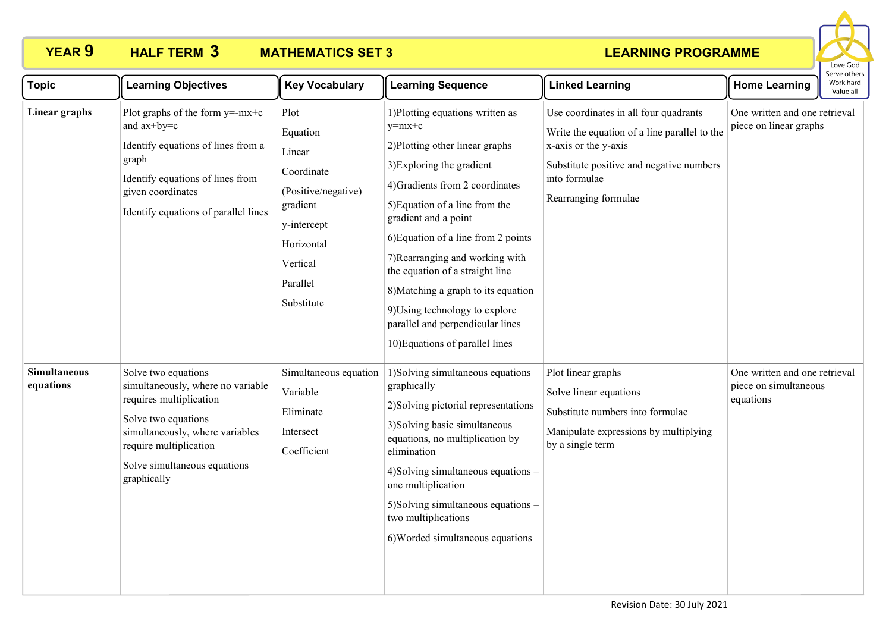

| <b>Topic</b>                     | <b>Learning Objectives</b>                                                                                                                                                                                             | <b>Key Vocabulary</b>                                                                                                                          | <b>Learning Sequence</b>                                                                                                                                                                                                                                                                                                                                                                                                                                               | <b>Linked Learning</b>                                                                                                                                                                             | <b>Home Learning</b>                                                | בו אב טנווכו א<br>Work hard<br>Value all |
|----------------------------------|------------------------------------------------------------------------------------------------------------------------------------------------------------------------------------------------------------------------|------------------------------------------------------------------------------------------------------------------------------------------------|------------------------------------------------------------------------------------------------------------------------------------------------------------------------------------------------------------------------------------------------------------------------------------------------------------------------------------------------------------------------------------------------------------------------------------------------------------------------|----------------------------------------------------------------------------------------------------------------------------------------------------------------------------------------------------|---------------------------------------------------------------------|------------------------------------------|
| Linear graphs                    | Plot graphs of the form $y=-mx+c$<br>and ax+by=c<br>Identify equations of lines from a<br>graph<br>Identify equations of lines from<br>given coordinates<br>Identify equations of parallel lines                       | Plot<br>Equation<br>Linear<br>Coordinate<br>(Positive/negative)<br>gradient<br>y-intercept<br>Horizontal<br>Vertical<br>Parallel<br>Substitute | 1) Plotting equations written as<br>$v=mx+c$<br>2) Plotting other linear graphs<br>3) Exploring the gradient<br>4) Gradients from 2 coordinates<br>5) Equation of a line from the<br>gradient and a point<br>6) Equation of a line from 2 points<br>7) Rearranging and working with<br>the equation of a straight line<br>8) Matching a graph to its equation<br>9) Using technology to explore<br>parallel and perpendicular lines<br>10) Equations of parallel lines | Use coordinates in all four quadrants<br>Write the equation of a line parallel to the<br>x-axis or the y-axis<br>Substitute positive and negative numbers<br>into formulae<br>Rearranging formulae | One written and one retrieval<br>piece on linear graphs             |                                          |
| <b>Simultaneous</b><br>equations | Solve two equations<br>simultaneously, where no variable<br>requires multiplication<br>Solve two equations<br>simultaneously, where variables<br>require multiplication<br>Solve simultaneous equations<br>graphically | Simultaneous equation<br>Variable<br>Eliminate<br>Intersect<br>Coefficient                                                                     | 1) Solving simultaneous equations<br>graphically<br>2) Solving pictorial representations<br>3) Solving basic simultaneous<br>equations, no multiplication by<br>elimination<br>4) Solving simultaneous equations -<br>one multiplication<br>5) Solving simultaneous equations -<br>two multiplications<br>6) Worded simultaneous equations                                                                                                                             | Plot linear graphs<br>Solve linear equations<br>Substitute numbers into formulae<br>Manipulate expressions by multiplying<br>by a single term                                                      | One written and one retrieval<br>piece on simultaneous<br>equations |                                          |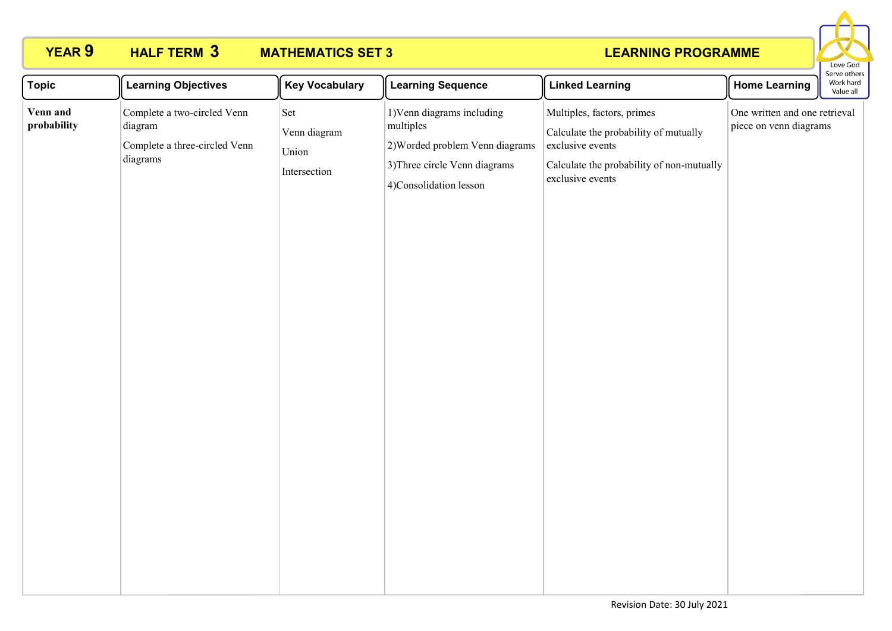

| <b>Topic</b>            | <b>Learning Objectives</b>                                                          | <b>Key Vocabulary</b>                        | <b>Learning Sequence</b>                                                                                                              | <b>Linked Learning</b>                                                                                                                                   | <b>Home Learning</b>                                    | Serve otners<br>Work hard<br>Value all |
|-------------------------|-------------------------------------------------------------------------------------|----------------------------------------------|---------------------------------------------------------------------------------------------------------------------------------------|----------------------------------------------------------------------------------------------------------------------------------------------------------|---------------------------------------------------------|----------------------------------------|
| Venn and<br>probability | Complete a two-circled Venn<br>diagram<br>Complete a three-circled Venn<br>diagrams | Set<br>Venn diagram<br>Union<br>Intersection | 1) Venn diagrams including<br>multiples<br>2) Worded problem Venn diagrams<br>3) Three circle Venn diagrams<br>4)Consolidation lesson | Multiples, factors, primes<br>Calculate the probability of mutually<br>exclusive events<br>Calculate the probability of non-mutually<br>exclusive events | One written and one retrieval<br>piece on venn diagrams |                                        |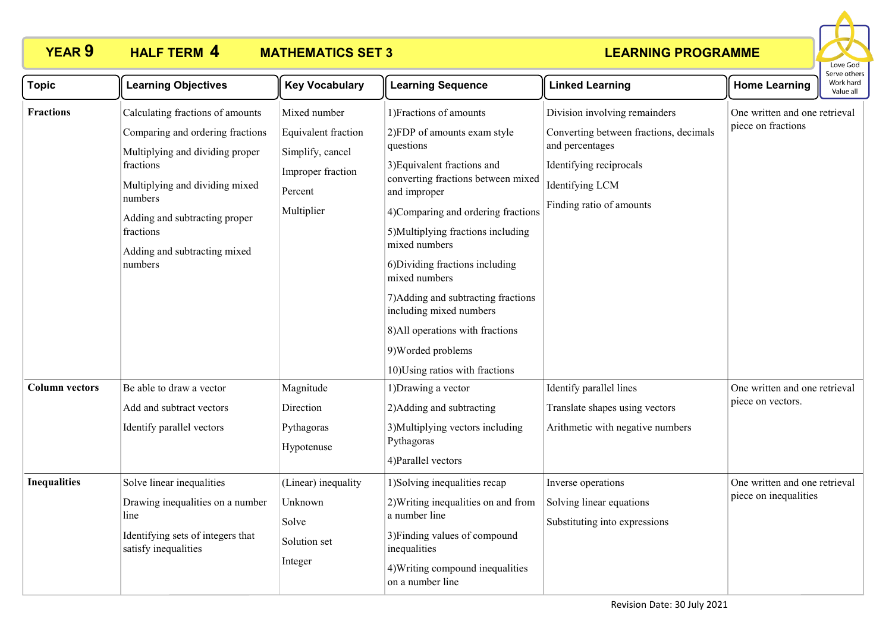

| <b>Topic</b>          | <b>Learning Objectives</b>                                                                                                                                                                                                                                 | <b>Key Vocabulary</b>                                                                                 | <b>Learning Sequence</b>                                                                                                                                                                                                                                                                                                                                                                                                                                                 | <b>Linked Learning</b>                                                                                                                                               | <b>Home Learning</b>                                   | בו אב חווכו א<br>Work hard<br>Value all |
|-----------------------|------------------------------------------------------------------------------------------------------------------------------------------------------------------------------------------------------------------------------------------------------------|-------------------------------------------------------------------------------------------------------|--------------------------------------------------------------------------------------------------------------------------------------------------------------------------------------------------------------------------------------------------------------------------------------------------------------------------------------------------------------------------------------------------------------------------------------------------------------------------|----------------------------------------------------------------------------------------------------------------------------------------------------------------------|--------------------------------------------------------|-----------------------------------------|
| <b>Fractions</b>      | Calculating fractions of amounts<br>Comparing and ordering fractions<br>Multiplying and dividing proper<br>fractions<br>Multiplying and dividing mixed<br>numbers<br>Adding and subtracting proper<br>fractions<br>Adding and subtracting mixed<br>numbers | Mixed number<br>Equivalent fraction<br>Simplify, cancel<br>Improper fraction<br>Percent<br>Multiplier | 1) Fractions of amounts<br>2)FDP of amounts exam style<br>questions<br>3) Equivalent fractions and<br>converting fractions between mixed<br>and improper<br>4)Comparing and ordering fractions<br>5) Multiplying fractions including<br>mixed numbers<br>6) Dividing fractions including<br>mixed numbers<br>7) Adding and subtracting fractions<br>including mixed numbers<br>8) All operations with fractions<br>9) Worded problems<br>10) Using ratios with fractions | Division involving remainders<br>Converting between fractions, decimals<br>and percentages<br>Identifying reciprocals<br>Identifying LCM<br>Finding ratio of amounts | One written and one retrieval<br>piece on fractions    |                                         |
| <b>Column vectors</b> | Be able to draw a vector<br>Add and subtract vectors<br>Identify parallel vectors                                                                                                                                                                          | Magnitude<br>Direction<br>Pythagoras<br>Hypotenuse                                                    | 1) Drawing a vector<br>2) Adding and subtracting<br>3) Multiplying vectors including<br>Pythagoras<br>4) Parallel vectors                                                                                                                                                                                                                                                                                                                                                | Identify parallel lines<br>Translate shapes using vectors<br>Arithmetic with negative numbers                                                                        | One written and one retrieval<br>piece on vectors.     |                                         |
| <b>Inequalities</b>   | Solve linear inequalities<br>Drawing inequalities on a number<br>line<br>Identifying sets of integers that<br>satisfy inequalities                                                                                                                         | (Linear) inequality<br>Unknown<br>Solve<br>Solution set<br>Integer                                    | 1) Solving inequalities recap<br>2) Writing inequalities on and from<br>a number line<br>3) Finding values of compound<br>inequalities<br>4) Writing compound inequalities<br>on a number line                                                                                                                                                                                                                                                                           | Inverse operations<br>Solving linear equations<br>Substituting into expressions                                                                                      | One written and one retrieval<br>piece on inequalities |                                         |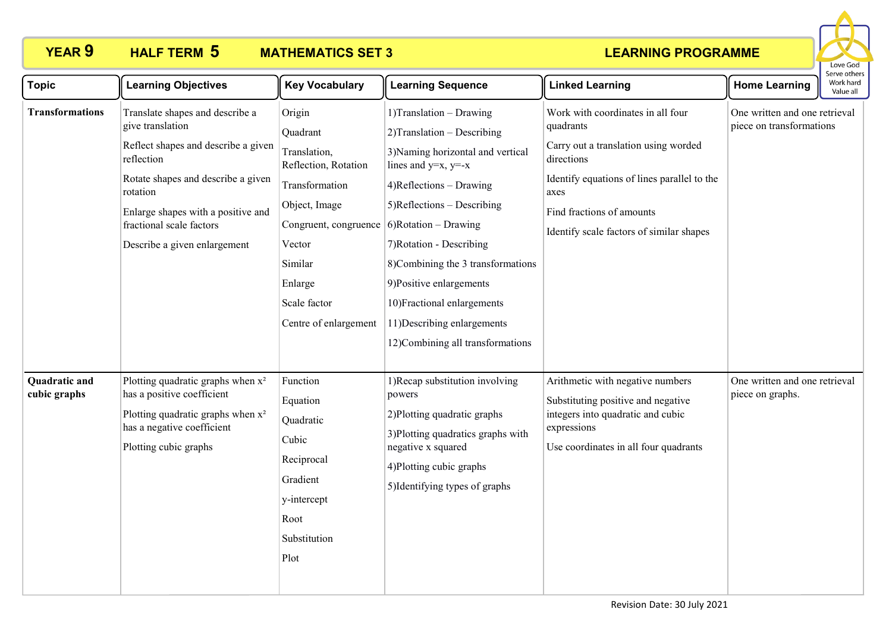## **HALF TERM 5**

# **YEAR 9 HALF TERM MATHEMATICS SET 3**



| <b>Topic</b>                         | <b>Learning Objectives</b>                                                                                                                                                                                                                                   | <b>Key Vocabulary</b>                                                                                                                                                                                                        | <b>Learning Sequence</b>                                                                                                                                                                                                                                                                                                                                                                | <b>Linked Learning</b>                                                                                                                                                                                                               | <b>Home Learning</b>                                      | Work hard<br>Value all |  |
|--------------------------------------|--------------------------------------------------------------------------------------------------------------------------------------------------------------------------------------------------------------------------------------------------------------|------------------------------------------------------------------------------------------------------------------------------------------------------------------------------------------------------------------------------|-----------------------------------------------------------------------------------------------------------------------------------------------------------------------------------------------------------------------------------------------------------------------------------------------------------------------------------------------------------------------------------------|--------------------------------------------------------------------------------------------------------------------------------------------------------------------------------------------------------------------------------------|-----------------------------------------------------------|------------------------|--|
| <b>Transformations</b>               | Translate shapes and describe a<br>give translation<br>Reflect shapes and describe a given<br>reflection<br>Rotate shapes and describe a given<br>rotation<br>Enlarge shapes with a positive and<br>fractional scale factors<br>Describe a given enlargement | Origin<br>Quadrant<br>Translation,<br>Reflection, Rotation<br>Transformation<br>Object, Image<br>Congruent, congruence $\vert$ 6)Rotation – Drawing<br>Vector<br>Similar<br>Enlarge<br>Scale factor<br>Centre of enlargement | $1)$ Translation – Drawing<br>2) Translation - Describing<br>3) Naming horizontal and vertical<br>lines and $y=x$ , $y=x$<br>$4)$ Reflections – Drawing<br>$5)$ Reflections – Describing<br>7) Rotation - Describing<br>8) Combining the 3 transformations<br>9)Positive enlargements<br>10) Fractional enlargements<br>11) Describing enlargements<br>12)Combining all transformations | Work with coordinates in all four<br>quadrants<br>Carry out a translation using worded<br>directions<br>Identify equations of lines parallel to the<br>axes<br>Find fractions of amounts<br>Identify scale factors of similar shapes | One written and one retrieval<br>piece on transformations |                        |  |
| <b>Quadratic and</b><br>cubic graphs | Plotting quadratic graphs when $x^2$<br>has a positive coefficient<br>Plotting quadratic graphs when x <sup>2</sup><br>has a negative coefficient<br>Plotting cubic graphs                                                                                   | Function<br>Equation<br>Quadratic<br>Cubic<br>Reciprocal<br>Gradient<br>y-intercept<br>Root<br>Substitution<br>Plot                                                                                                          | 1) Recap substitution involving<br>powers<br>2) Plotting quadratic graphs<br>3) Plotting quadratics graphs with<br>negative x squared<br>4) Plotting cubic graphs<br>5) Identifying types of graphs                                                                                                                                                                                     | Arithmetic with negative numbers<br>Substituting positive and negative<br>integers into quadratic and cubic<br>expressions<br>Use coordinates in all four quadrants                                                                  | One written and one retrieval<br>piece on graphs.         |                        |  |